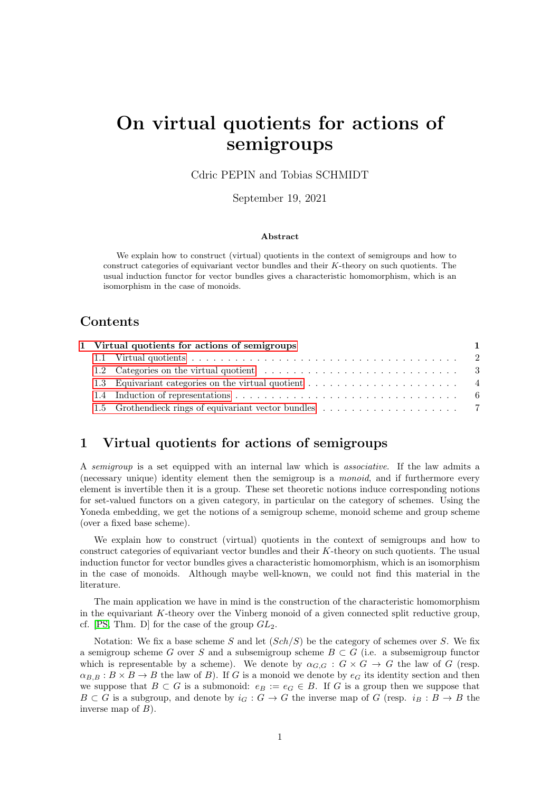# On virtual quotients for actions of semigroups

Cdric PEPIN and Tobias SCHMIDT

September 19, 2021

#### Abstract

We explain how to construct (virtual) quotients in the context of semigroups and how to construct categories of equivariant vector bundles and their K-theory on such quotients. The usual induction functor for vector bundles gives a characteristic homomorphism, which is an isomorphism in the case of monoids.

# Contents

|  | 1 Virtual quotients for actions of semigroups |  |
|--|-----------------------------------------------|--|
|  |                                               |  |
|  |                                               |  |
|  |                                               |  |
|  |                                               |  |
|  |                                               |  |

# <span id="page-0-0"></span>1 Virtual quotients for actions of semigroups

A semigroup is a set equipped with an internal law which is associative. If the law admits a (necessary unique) identity element then the semigroup is a monoid, and if furthermore every element is invertible then it is a group. These set theoretic notions induce corresponding notions for set-valued functors on a given category, in particular on the category of schemes. Using the Yoneda embedding, we get the notions of a semigroup scheme, monoid scheme and group scheme (over a fixed base scheme).

We explain how to construct (virtual) quotients in the context of semigroups and how to construct categories of equivariant vector bundles and their K-theory on such quotients. The usual induction functor for vector bundles gives a characteristic homomorphism, which is an isomorphism in the case of monoids. Although maybe well-known, we could not find this material in the literature.

The main application we have in mind is the construction of the characteristic homomorphism in the equivariant  $K$ -theory over the Vinberg monoid of a given connected split reductive group, cf. [\[PS,](#page-7-0) Thm. D] for the case of the group  $GL_2$ .

Notation: We fix a base scheme S and let  $(Sch/S)$  be the category of schemes over S. We fix a semigroup scheme G over S and a subsemigroup scheme  $B \subset G$  (i.e. a subsemigroup functor which is representable by a scheme). We denote by  $\alpha_{G,G}: G \times G \to G$  the law of G (resp.  $\alpha_{B,B}: B \times B \to B$  the law of B). If G is a monoid we denote by  $e_G$  its identity section and then we suppose that  $B \subset G$  is a submonoid:  $e_B := e_G \in B$ . If G is a group then we suppose that  $B \subset G$  is a subgroup, and denote by  $i_G : G \to G$  the inverse map of G (resp.  $i_B : B \to B$  the inverse map of  $B$ ).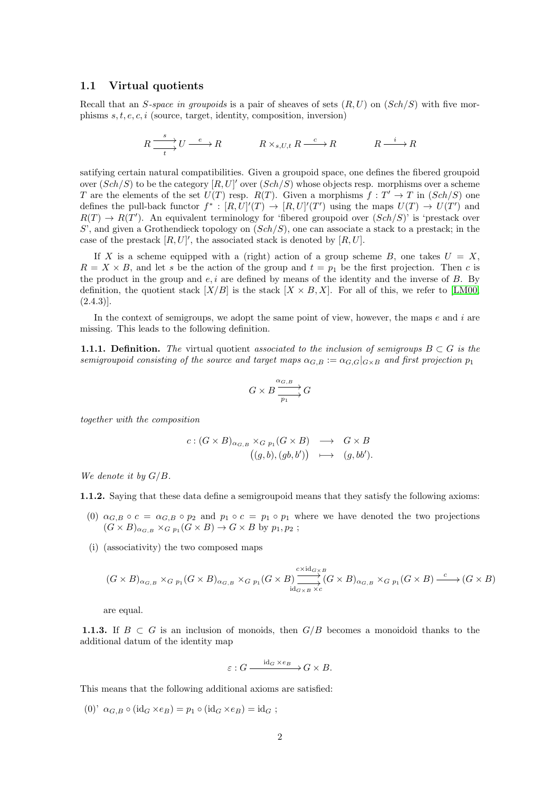## <span id="page-1-0"></span>1.1 Virtual quotients

Recall that an S-space in groupoids is a pair of sheaves of sets  $(R, U)$  on  $(Sch/S)$  with five morphisms  $s, t, e, c, i$  (source, target, identity, composition, inversion)

$$
R \xrightarrow[t]{s} U \xrightarrow{e} R \qquad R \times_{s,U,t} R \xrightarrow{c} R \qquad R \xrightarrow{i} R
$$

satifying certain natural compatibilities. Given a groupoid space, one defines the fibered groupoid over  $(Sch/S)$  to be the category  $[R, U]'$  over  $(Sch/S)$  whose objects resp. morphisms over a scheme T are the elements of the set  $U(T)$  resp.  $R(T)$ . Given a morphisms  $f: T' \to T$  in  $(Sch/S)$  one defines the pull-back functor  $f^*: [R, U]'(T) \to [R, U]'(T')$  using the maps  $U(T) \to U(T')$  and  $R(T) \to R(T')$ . An equivalent terminology for 'fibered groupoid over  $(Sch/S)'$  is 'prestack over S', and given a Grothendieck topology on  $(Sch/S)$ , one can associate a stack to a prestack; in the case of the prestack  $[R, U]'$ , the associated stack is denoted by  $[R, U]$ .

If X is a scheme equipped with a (right) action of a group scheme B, one takes  $U = X$ ,  $R = X \times B$ , and let s be the action of the group and  $t = p_1$  be the first projection. Then c is the product in the group and  $e, i$  are defined by means of the identity and the inverse of  $B$ . By definition, the quotient stack  $[X/B]$  is the stack  $[X \times B, X]$ . For all of this, we refer to [\[LM00,](#page-7-1)  $(2.4.3)$ ].

In the context of semigroups, we adopt the same point of view, however, the maps  $e$  and  $i$  are missing. This leads to the following definition.

<span id="page-1-1"></span>**1.1.1.** Definition. The virtual quotient associated to the inclusion of semigroups  $B \subset G$  is the semigroupoid consisting of the source and target maps  $\alpha_{G,B} := \alpha_{G,G}|_{G\times B}$  and first projection  $p_1$ 

$$
G\times B\frac{\alpha_{G,B}}{\overrightarrow{p_1}}G
$$

together with the composition

$$
c: (G \times B)_{\alpha_{G,B}} \times_{G p_1} (G \times B) \longrightarrow G \times B
$$
  

$$
((g, b), (gb, b')) \longrightarrow (g, bb').
$$

We denote it by  $G/B$ .

1.1.2. Saying that these data define a semigroupoid means that they satisfy the following axioms:

- (0)  $\alpha_{G,B} \circ c = \alpha_{G,B} \circ p_2$  and  $p_1 \circ c = p_1 \circ p_1$  where we have denoted the two projections  $(G \times B)_{\alpha_{G,B}} \times_{G p_1} (G \times B) \to G \times B$  by  $p_1, p_2$ ;
- (i) (associativity) the two composed maps

$$
(G \times B)_{\alpha_{G,B}} \times_{G p_1} (G \times B)_{\alpha_{G,B}} \times_{G p_1} (G \times B) \xrightarrow{\text{c} \times \text{id}_{G \times B}} (G \times B)_{\alpha_{G,B}} \times_{G p_1} (G \times B) \xrightarrow{\text{c}} (G \times B)
$$

are equal.

1.1.3. If  $B \subset G$  is an inclusion of monoids, then  $G/B$  becomes a monoidoid thanks to the additional datum of the identity map

$$
\varepsilon: G \xrightarrow{\mathrm{id}_G \times e_B} G \times B.
$$

This means that the following additional axioms are satisfied:

(0)'  $\alpha_{G,B} \circ (\mathrm{id}_G \times e_B) = p_1 \circ (\mathrm{id}_G \times e_B) = \mathrm{id}_G$ ;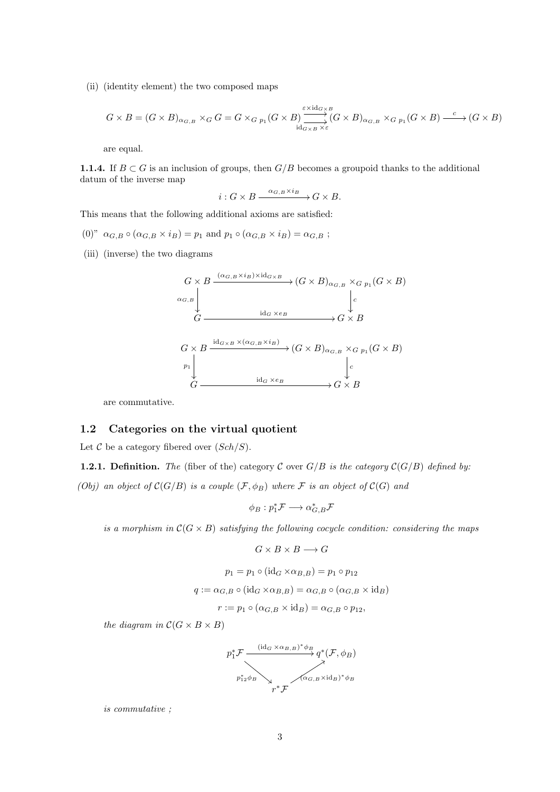(ii) (identity element) the two composed maps

$$
G \times B = (G \times B)_{\alpha_{G,B}} \times_G G = G \times_{G p_1} (G \times B) \xrightarrow{\varepsilon \times \text{id}_{G \times B}} (G \times B)_{\alpha_{G,B}} \times_{G p_1} (G \times B) \xrightarrow{c} (G \times B)
$$

are equal.

**1.1.4.** If  $B \subset G$  is an inclusion of groups, then  $G/B$  becomes a groupoid thanks to the additional datum of the inverse map

$$
i: G \times B \xrightarrow{\alpha_{G,B} \times i_B} G \times B.
$$

This means that the following additional axioms are satisfied:

- (0)"  $\alpha_{G,B} \circ (\alpha_{G,B} \times i_B) = p_1$  and  $p_1 \circ (\alpha_{G,B} \times i_B) = \alpha_{G,B}$ ;
- (iii) (inverse) the two diagrams

$$
G \times B \xrightarrow{\alpha_{G,B} \times i_B \times id_{G \times B}} (G \times B)_{\alpha_{G,B}} \times_{G p_1} (G \times B)
$$
  
\n
$$
\alpha_{G,B} \downarrow \qquad \qquad \downarrow c
$$
  
\n
$$
G \xrightarrow{\text{id}_{G \times B} \times (\alpha_{G,B} \times i_B)} G \times B
$$
  
\n
$$
G \times B \xrightarrow{\text{id}_{G \times B} \times (\alpha_{G,B} \times i_B)} (G \times B)_{\alpha_{G,B}} \times_{G p_1} (G \times B)
$$
  
\n
$$
P_1 \downarrow \qquad \qquad \downarrow c
$$
  
\n
$$
G \xrightarrow{\text{id}_{G} \times e_B} \qquad \qquad \downarrow G \times B
$$

are commutative.

## <span id="page-2-0"></span>1.2 Categories on the virtual quotient

Let  $\mathcal C$  be a category fibered over  $(Sch/S)$ .

<span id="page-2-1"></span>**1.2.1. Definition.** The (fiber of the) category C over  $G/B$  is the category  $C(G/B)$  defined by: (Obj) an object of  $\mathcal{C}(G/B)$  is a couple  $(\mathcal{F}, \phi_B)$  where  $\mathcal F$  is an object of  $\mathcal{C}(G)$  and

$$
\phi_B: p_1^* \mathcal{F} \longrightarrow \alpha_{G,B}^* \mathcal{F}
$$

is a morphism in  $C(G \times B)$  satisfying the following cocycle condition: considering the maps

$$
G\times B\times B\longrightarrow G
$$

$$
p_1 = p_1 \circ (\text{id}_G \times \alpha_{B,B}) = p_1 \circ p_{12}
$$

$$
q := \alpha_{G,B} \circ (\text{id}_G \times \alpha_{B,B}) = \alpha_{G,B} \circ (\alpha_{G,B} \times \text{id}_B)
$$

$$
r := p_1 \circ (\alpha_{G,B} \times id_B) = \alpha_{G,B} \circ p_{12}
$$

the diagram in  $\mathcal{C}(G \times B \times B)$ 



is commutative ;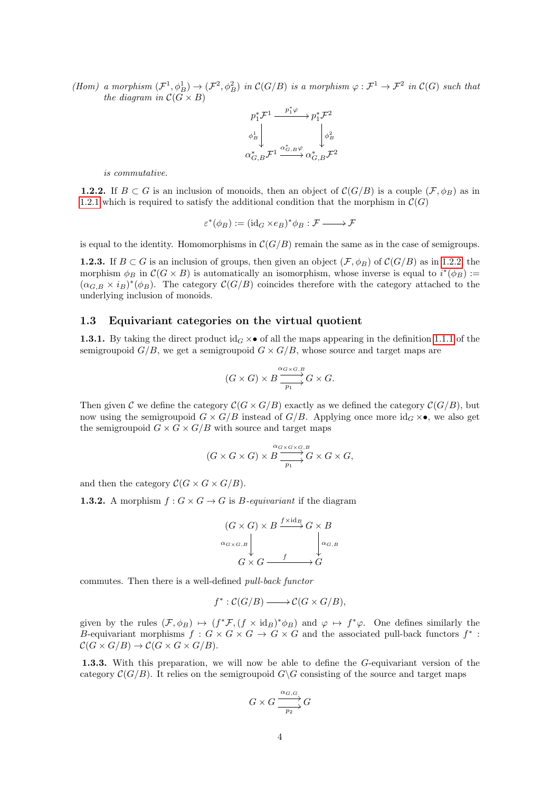(Hom) a morphism  $(\mathcal{F}^1, \phi_B^1) \to (\mathcal{F}^2, \phi_B^2)$  in  $\mathcal{C}(G/B)$  is a morphism  $\varphi : \mathcal{F}^1 \to \mathcal{F}^2$  in  $\mathcal{C}(G)$  such that the diagram in  $C(G \times B)$ 

$$
\begin{array}{ccc}\np_1^* \mathcal{F}^1 & \xrightarrow{p_1^* \varphi} & p_1^* \mathcal{F}^2 \\
\phi_B^1 & & \downarrow \\
\alpha_{G,B}^* \mathcal{F}^1 & \xrightarrow{\alpha_{G,B}^* \varphi} & \downarrow \\
\alpha_{G,B}^* \mathcal{F}^1 & \xrightarrow{\alpha_{G,B}^* \varphi} & \alpha_{G,B}^* \mathcal{F}^2\n\end{array}
$$

is commutative.

<span id="page-3-1"></span>**1.2.2.** If  $B \subset G$  is an inclusion of monoids, then an object of  $\mathcal{C}(G/B)$  is a couple  $(\mathcal{F}, \phi_B)$  as in [1.2.1](#page-2-1) which is required to satisfy the additional condition that the morphism in  $\mathcal{C}(G)$ 

$$
\varepsilon^*(\phi_B) := (\mathrm{id}_G \times e_B)^* \phi_B : \mathcal{F} \longrightarrow \mathcal{F}
$$

is equal to the identity. Homomorphisms in  $\mathcal{C}(G/B)$  remain the same as in the case of semigroups.

<span id="page-3-2"></span>**1.2.3.** If  $B \subset G$  is an inclusion of groups, then given an object  $(\mathcal{F}, \phi_B)$  of  $\mathcal{C}(G/B)$  as in [1.2.2,](#page-3-1) the morphism  $\phi_B$  in  $\mathcal{C}(G \times B)$  is automatically an isomorphism, whose inverse is equal to  $i^*(\phi_B) :=$  $(\alpha_{G,B} \times i_B)^*(\phi_B)$ . The category  $\mathcal{C}(G/B)$  coincides therefore with the category attached to the underlying inclusion of monoids.

### <span id="page-3-0"></span>1.3 Equivariant categories on the virtual quotient

1.3.1. By taking the direct product  $\mathrm{id}_G \times \bullet$  of all the maps appearing in the definition [1.1.1](#page-1-1) of the semigroupoid  $G/B$ , we get a semigroupoid  $G \times G/B$ , whose source and target maps are

$$
(G\times G)\times B\frac{\stackrel{\alpha_{G\times G,B}}{\longrightarrow}G\times G.
$$

Then given C we define the category  $\mathcal{C}(G \times G/B)$  exactly as we defined the category  $\mathcal{C}(G/B)$ , but now using the semigroupoid  $G \times G/B$  instead of  $G/B$ . Applying once more id $_G \times \bullet$ , we also get the semigroupoid  $G \times G \times G/B$  with source and target maps

$$
(G \times G \times G) \times B \xrightarrow[p_1]{\alpha_{G \times G \times G,B}} G \times G \times G,
$$

and then the category  $\mathcal{C}(G \times G \times G/B)$ .

**1.3.2.** A morphism  $f: G \times G \rightarrow G$  is *B*-equivariant if the diagram

$$
(G \times G) \times B \xrightarrow{f \times id_B} G \times B
$$
  
\n
$$
\alpha_{G \times G,B} \downarrow \qquad \qquad \downarrow \alpha_{G,B}
$$
  
\n
$$
G \times G \xrightarrow{f} G
$$

commutes. Then there is a well-defined pull-back functor

$$
f^* : \mathcal{C}(G/B) \longrightarrow \mathcal{C}(G \times G/B),
$$

given by the rules  $(\mathcal{F}, \phi_B) \mapsto (f^* \mathcal{F}, (f \times id_B)^* \phi_B)$  and  $\varphi \mapsto f^* \varphi$ . One defines similarly the B-equivariant morphisms  $f: G \times G \times G \to G \times G$  and the associated pull-back functors  $f^*$ :  $\mathcal{C}(G \times G/B) \to \mathcal{C}(G \times G \times G/B).$ 

1.3.3. With this preparation, we will now be able to define the G-equivariant version of the category  $\mathcal{C}(G/B)$ . It relies on the semigroupoid  $G\backslash G$  consisting of the source and target maps

$$
G \times G \xrightarrow[p_2]{\alpha_{G,G}} G
$$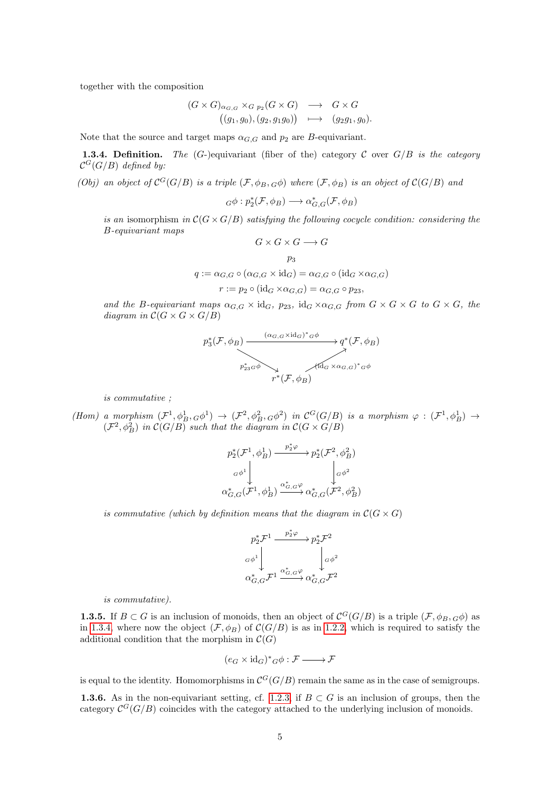together with the composition

$$
(G \times G)_{\alpha_{G,G}} \times_{G p_2}(G \times G) \longrightarrow G \times G
$$
  

$$
((g_1, g_0), (g_2, g_1g_0)) \longmapsto (g_2g_1, g_0).
$$

Note that the source and target maps  $\alpha_{G,G}$  and  $p_2$  are B-equivariant.

<span id="page-4-0"></span>**1.3.4. Definition.** The  $(G-)$ equivariant (fiber of the) category C over  $G/B$  is the category  $\mathcal{C}^G(G/B)$  defined by:

(Obj) an object of  $C^G(G/B)$  is a triple  $(\mathcal{F}, \phi_B, G\phi)$  where  $(\mathcal{F}, \phi_B)$  is an object of  $\mathcal{C}(G/B)$  and

$$
{}_{G}\phi : p_2^*(\mathcal{F}, \phi_B) \longrightarrow \alpha_{G,G}^*(\mathcal{F}, \phi_B)
$$

is an isomorphism in  $\mathcal{C}(G \times G/B)$  satisfying the following cocycle condition: considering the B-equivariant maps  $G \times G \times G \longrightarrow G$ 

$$
p_3
$$
  

$$
q := \alpha_{G,G} \circ (\alpha_{G,G} \times \mathrm{id}_G) = \alpha_{G,G} \circ (\mathrm{id}_G \times \alpha_{G,G})
$$
  

$$
r := p_2 \circ (\mathrm{id}_G \times \alpha_{G,G}) = \alpha_{G,G} \circ p_{23},
$$

and the B-equivariant maps  $\alpha_{G,G} \times id_G$ ,  $p_{23}$ ,  $id_G \times \alpha_{G,G}$  from  $G \times G \times G$  to  $G \times G$ , the diagram in  $C(G \times G \times G/B)$ 



is commutative ;

(Hom) a morphism  $(\mathcal{F}^1, \phi_B^1, \phi^1) \to (\mathcal{F}^2, \phi_B^2, \phi^2)$  in  $\mathcal{C}^G(G/B)$  is a morphism  $\varphi : (\mathcal{F}^1, \phi_B^1) \to$  $(\mathcal{F}^2, \phi_B^2)$  in  $\mathcal{C}(G/B)$  such that the diagram in  $\mathcal{C}(G \times G/B)$ 

$$
p_2^*(\mathcal{F}^1, \phi_B^1) \xrightarrow{p_2^*\varphi} p_2^*(\mathcal{F}^2, \phi_B^2)
$$
  
\n
$$
\downarrow^{G\phi^1} \downarrow^{G\phi^2}
$$
  
\n
$$
\alpha_{G,G}^*(\mathcal{F}^1, \phi_B^1) \xrightarrow{\alpha_{G,G}^*\varphi} \alpha_{G,G}^*(\mathcal{F}^2, \phi_B^2)
$$

is commutative (which by definition means that the diagram in  $\mathcal{C}(G \times G)$ )

$$
\begin{array}{ccc}\np_2^* \mathcal{F}^1 & \xrightarrow{\quad p_2^* \varphi \quad} & p_2^* \mathcal{F}^2 \\
\downarrow & & \downarrow & \\
\alpha \phi^1 & & \downarrow & \\
\alpha_{G,G}^* \mathcal{F}^1 & \xrightarrow{\alpha_{G,G}^* \varphi} & \downarrow & \\
\alpha_{G,G}^* \mathcal{F}^1 & \xrightarrow{\alpha_{G,G}^* \varphi} & \alpha_{G,G}^* \mathcal{F}^2\n\end{array}
$$

is commutative).

<span id="page-4-1"></span>**1.3.5.** If  $B \subset G$  is an inclusion of monoids, then an object of  $\mathcal{C}^G(G/B)$  is a triple  $(\mathcal{F}, \phi_B, \phi)$  as in [1.3.4,](#page-4-0) where now the object  $(\mathcal{F}, \phi_B)$  of  $\mathcal{C}(G/B)$  is as in [1.2.2,](#page-3-1) which is required to satisfy the additional condition that the morphism in  $\mathcal{C}(G)$ 

$$
(e_G\times\operatorname{id}_G)^*{}_{G}\phi:\mathcal{F}\xrightarrow{\quad} \mathcal{F}
$$

is equal to the identity. Homomorphisms in  $\mathcal{C}^G(G/B)$  remain the same as in the case of semigroups.

<span id="page-4-2"></span>**1.3.6.** As in the non-equivariant setting, cf. [1.2.3,](#page-3-2) if  $B \subset G$  is an inclusion of groups, then the category  $\mathcal{C}^G(G/B)$  coincides with the category attached to the underlying inclusion of monoids.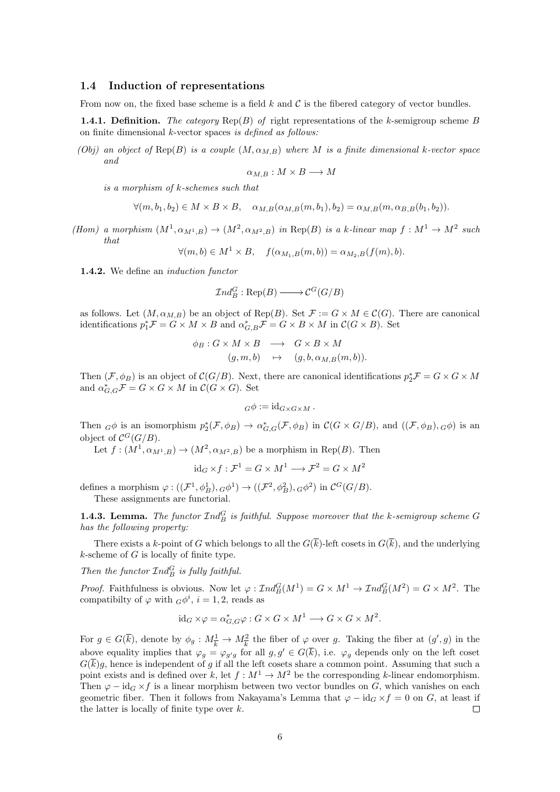## <span id="page-5-0"></span>1.4 Induction of representations

From now on, the fixed base scheme is a field  $k$  and  $\mathcal C$  is the fibered category of vector bundles.

<span id="page-5-1"></span>**1.4.1. Definition.** The category  $\text{Rep}(B)$  of right representations of the k-semigroup scheme B on finite dimensional k-vector spaces is defined as follows:

(Obj) an object of Rep(B) is a couple  $(M, \alpha_{M,B})$  where M is a finite dimensional k-vector space and

$$
\alpha_{M,B}: M \times B \longrightarrow M
$$

is a morphism of k-schemes such that

$$
\forall (m, b_1, b_2) \in M \times B \times B, \quad \alpha_{M,B}(\alpha_{M,B}(m, b_1), b_2) = \alpha_{M,B}(m, \alpha_{B,B}(b_1, b_2)).
$$

(Hom) a morphism  $(M^1, \alpha_{M^1,B}) \to (M^2, \alpha_{M^2,B})$  in Rep(B) is a k-linear map  $f : M^1 \to M^2$  such that

 $\forall (m, b) \in M^1 \times B, \quad f(\alpha_{M_1, B}(m, b)) = \alpha_{M_2, B}(f(m), b).$ 

1.4.2. We define an *induction functor* 

$$
\mathcal{I}nd_B^G : \text{Rep}(B) \longrightarrow \mathcal{C}^G(G/B)
$$

as follows. Let  $(M, \alpha_{M,B})$  be an object of Rep(B). Set  $\mathcal{F} := G \times M \in \mathcal{C}(G)$ . There are canonical identifications  $p_1^* \mathcal{F} = G \times M \times B$  and  $\alpha_{G,B}^* \mathcal{F} = G \times B \times M$  in  $\mathcal{C}(G \times B)$ . Set

$$
\begin{array}{rcl}\n\phi_B: G \times M \times B & \longrightarrow & G \times B \times M \\
(g, m, b) & \mapsto & (g, b, \alpha_{M,B}(m, b)).\n\end{array}
$$

Then  $(\mathcal{F}, \phi_B)$  is an object of  $\mathcal{C}(G/B)$ . Next, there are canonical identifications  $p_2^*\mathcal{F} = G \times G \times M$ and  $\alpha_{G,G}^* \mathcal{F} = G \times G \times M$  in  $\mathcal{C}(G \times G)$ . Set

$$
G\phi := \mathrm{id}_{G \times G \times M} \, .
$$

Then  ${}_{G}\phi$  is an isomorphism  $p_2^*(\mathcal{F}, \phi_B) \to \alpha_{G,G}^*(\mathcal{F}, \phi_B)$  in  $\mathcal{C}(G \times G/B)$ , and  $((\mathcal{F}, \phi_B), G\phi)$  is an object of  $\mathcal{C}^G(G/B)$ .

Let  $f:(M^1,\alpha_{M^1,B})\to (M^2,\alpha_{M^2,B})$  be a morphism in Rep(B). Then

$$
id_G \times f : \mathcal{F}^1 = G \times M^1 \longrightarrow \mathcal{F}^2 = G \times M^2
$$

defines a morphism  $\varphi: ((\mathcal{F}^1, \phi_B^1), G\phi^1) \to ((\mathcal{F}^2, \phi_B^2), G\phi^2)$  in  $\mathcal{C}^G(G/B)$ . These assignments are functorial.

**1.4.3. Lemma.** The functor  $\mathcal{I}nd_B^G$  is faithful. Suppose moreover that the k-semigroup scheme G has the following property:

There exists a k-point of G which belongs to all the  $G(\overline{k})$ -left cosets in  $G(\overline{k})$ , and the underlying  $k$ -scheme of  $G$  is locally of finite type.

Then the functor  $\mathcal{I}nd_B^G$  is fully faithful.

*Proof.* Faithfulness is obvious. Now let  $\varphi : \mathcal{I}nd_B^G(M^1) = G \times M^1 \to \mathcal{I}nd_B^G(M^2) = G \times M^2$ . The compatibilty of  $\varphi$  with  $G\phi^i$ ,  $i = 1, 2$ , reads as

$$
id_G \times \varphi = \alpha_{G,G}^* \varphi : G \times G \times M^1 \longrightarrow G \times G \times M^2.
$$

For  $g \in G(\overline{k})$ , denote by  $\phi_g: M_{\overline{k}}^1 \to M_{\overline{k}}^2$  the fiber of  $\varphi$  over g. Taking the fiber at  $(g', g)$  in the above equality implies that  $\varphi_g = \varphi_{g'g}$  for all  $g, g' \in G(\overline{k})$ , i.e.  $\varphi_g$  depends only on the left coset  $G(k)g$ , hence is independent of g if all the left cosets share a common point. Assuming that such a point exists and is defined over k, let  $f : M^1 \to M^2$  be the corresponding k-linear endomorphism. Then  $\varphi - \mathrm{id}_G \times f$  is a linear morphism between two vector bundles on G, which vanishes on each geometric fiber. Then it follows from Nakayama's Lemma that  $\varphi - id_G \times f = 0$  on G, at least if the latter is locally of finite type over  $k$ .  $\Box$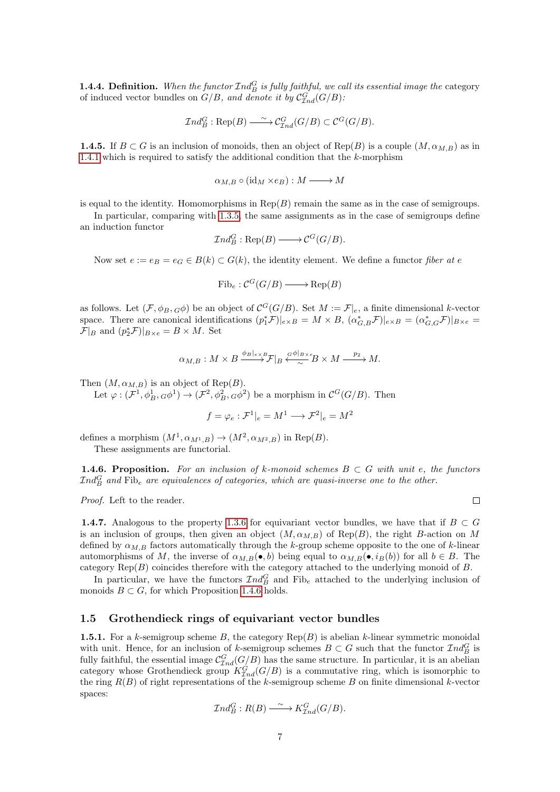**1.4.4. Definition.** When the functor  $\mathcal{I}nd_B^G$  is fully faithful, we call its essential image the category of induced vector bundles on  $G/B$ , and denote it by  $C_{Ind}^G(G/B)$ :

$$
\mathcal{I}nd_B^G : \text{Rep}(B) \longrightarrow C^G_{\mathcal{I}nd}(G/B) \subset \mathcal{C}^G(G/B).
$$

**1.4.5.** If  $B \subset G$  is an inclusion of monoids, then an object of Rep(B) is a couple  $(M, \alpha_{M,B})$  as in [1.4.1](#page-5-1) which is required to satisfy the additional condition that the  $k$ -morphism

$$
\alpha_{M,B} \circ (\mathrm{id}_M \times e_B) : M \longrightarrow M
$$

is equal to the identity. Homomorphisms in  $Rep(B)$  remain the same as in the case of semigroups.

In particular, comparing with [1.3.5,](#page-4-1) the same assignments as in the case of semigroups define an induction functor

$$
\mathcal{I}nd_B^G:\text{Rep}(B)\longrightarrow \mathcal{C}^G(G/B).
$$

Now set  $e := e_B = e_G \in B(k) \subset G(k)$ , the identity element. We define a functor fiber at e

$$
\text{Fib}_e : \mathcal{C}^G(G/B) \longrightarrow \text{Rep}(B)
$$

as follows. Let  $(\mathcal{F}, \phi_B, G\phi)$  be an object of  $\mathcal{C}^G(G/B)$ . Set  $M := \mathcal{F}|_e$ , a finite dimensional k-vector space. There are canonical identifications  $(p_1^* \mathcal{F})|_{e \times B} = M \times B$ ,  $(\alpha_{G,B}^* \mathcal{F})|_{e \times B} = (\alpha_{G,G}^* \mathcal{F})|_{B \times e} =$  $\mathcal{F}|_B$  and  $(p_2^*\mathcal{F})|_{B \times e} = B \times M$ . Set

$$
\alpha_{M,B}: M\times B\stackrel{\phi_B|_{e\times B}}{\longrightarrow} \mathcal{F}|_B\stackrel{G^{\phi}|_{B\times e}}{\sim} B\times M\stackrel{p_2}{\longrightarrow} M.
$$

Then  $(M, \alpha_{M,B})$  is an object of Rep(B).

Let  $\varphi: (\mathcal{F}^1, \phi_B^1, \phi^1) \to (\mathcal{F}^2, \phi_B^2, \phi^2)$  be a morphism in  $\mathcal{C}^G(G/B)$ . Then

$$
f = \varphi_e : \mathcal{F}^1|_e = M^1 \longrightarrow \mathcal{F}^2|_e = M^2
$$

defines a morphism  $(M^1, \alpha_{M^1,B}) \to (M^2, \alpha_{M^2,B})$  in  $\text{Rep}(B)$ .

These assignments are functorial.

<span id="page-6-1"></span>**1.4.6. Proposition.** For an inclusion of k-monoid schemes  $B \subset G$  with unit e, the functors  $\mathcal{I} nd_B^G$  and  $\mathrm{Fib}_e$  are equivalences of categories, which are quasi-inverse one to the other.

Proof. Left to the reader.

 $\Box$ 

**1.4.7.** Analogous to the property [1.3.6](#page-4-2) for equivariant vector bundles, we have that if  $B \subset G$ is an inclusion of groups, then given an object  $(M, \alpha_{M,B})$  of Rep(B), the right B-action on M defined by  $\alpha_{M,B}$  factors automatically through the k-group scheme opposite to the one of k-linear automorphisms of M, the inverse of  $\alpha_{M,B}(\bullet, b)$  being equal to  $\alpha_{M,B}(\bullet, i_B(b))$  for all  $b \in B$ . The category  $\text{Rep}(B)$  coincides therefore with the category attached to the underlying monoid of  $B$ .

In particular, we have the functors  $\mathcal{I}nd_B^G$  and  $\mathrm{Fib}_e$  attached to the underlying inclusion of monoids  $B \subset G$ , for which Proposition [1.4.6](#page-6-1) holds.

## <span id="page-6-0"></span>1.5 Grothendieck rings of equivariant vector bundles

**1.5.1.** For a k-semigroup scheme B, the category  $\text{Rep}(B)$  is abelian k-linear symmetric monoidal with unit. Hence, for an inclusion of k-semigroup schemes  $B \subset G$  such that the functor  $\mathcal{I}nd_B^G$  is fully faithful, the essential image  $\mathcal{C}_{Ind}^G(G/B)$  has the same structure. In particular, it is an abelian category whose Grothendieck group  $K_{Ind}^G(G/B)$  is a commutative ring, which is isomorphic to the ring  $R(B)$  of right representations of the k-semigroup scheme B on finite dimensional k-vector spaces:

$$
\mathcal{I}nd_B^G: R(B) \xrightarrow{\sim} K_{\mathcal{I}nd}^G(G/B).
$$